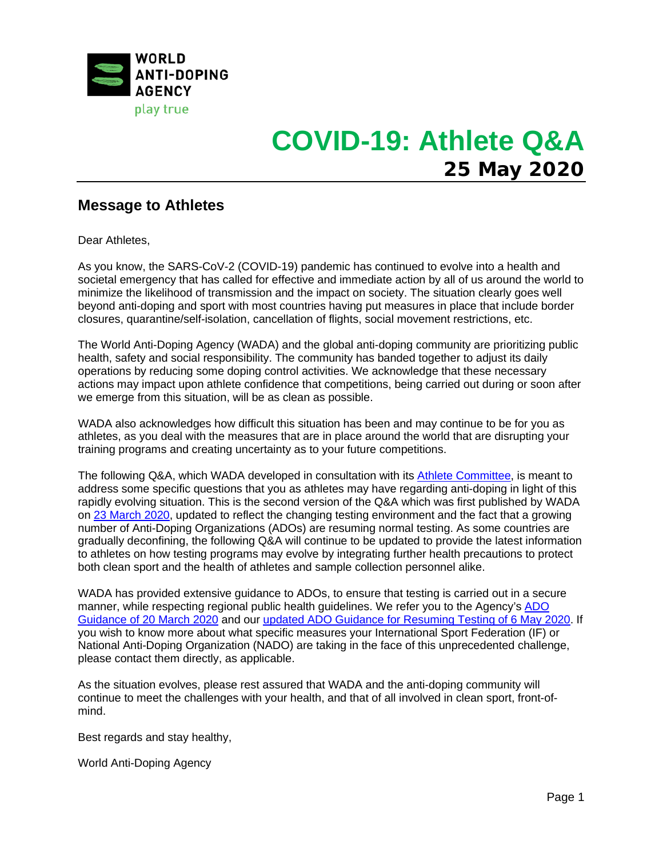

## **Message to Athletes**

Dear Athletes,

As you know, the SARS-CoV-2 (COVID-19) pandemic has continued to evolve into a health and societal emergency that has called for effective and immediate action by all of us around the world to minimize the likelihood of transmission and the impact on society. The situation clearly goes well beyond anti-doping and sport with most countries having put measures in place that include border closures, quarantine/self-isolation, cancellation of flights, social movement restrictions, etc.

The World Anti-Doping Agency (WADA) and the global anti-doping community are prioritizing public health, safety and social responsibility. The community has banded together to adjust its daily operations by reducing some doping control activities. We acknowledge that these necessary actions may impact upon athlete confidence that competitions, being carried out during or soon after we emerge from this situation, will be as clean as possible.

WADA also acknowledges how difficult this situation has been and may continue to be for you as athletes, as you deal with the measures that are in place around the world that are disrupting your training programs and creating uncertainty as to your future competitions.

The following Q&A, which WADA developed in consultation with its [Athlete Committee,](https://www.wada-ama.org/en/who-we-are/governance/athlete-committee) is meant to address some specific questions that you as athletes may have regarding anti-doping in light of this rapidly evolving situation. This is the second version of the Q&A which was first published by WADA on [23 March 2020,](https://www.wada-ama.org/en/media/news/2020-03/wada-responds-to-athlete-queries-concerning-anti-doping-in-light-of-covid-19) updated to reflect the changing testing environment and the fact that a growing number of Anti-Doping Organizations (ADOs) are resuming normal testing. As some countries are gradually deconfining, the following Q&A will continue to be updated to provide the latest information to athletes on how testing programs may evolve by integrating further health precautions to protect both clean sport and the health of athletes and sample collection personnel alike.

WADA has provided extensive guidance to ADOs, to ensure that testing is carried out in a secure manner, while respecting regional public health guidelines. We refer you to the Agency's ADO [Guidance of 20 March 2020](https://www.wada-ama.org/sites/default/files/resources/files/20200320_covid-19_update_en.pdf) and our updated [ADO Guidance for Resuming Testing](https://www.wada-ama.org/sites/default/files/resources/files/20200506_ado_guidance_resuming_testing_en.pdf) of 6 May 2020. If you wish to know more about what specific measures your International Sport Federation (IF) or National Anti-Doping Organization (NADO) are taking in the face of this unprecedented challenge, please contact them directly, as applicable.

As the situation evolves, please rest assured that WADA and the anti-doping community will continue to meet the challenges with your health, and that of all involved in clean sport, front-ofmind.

Best regards and stay healthy,

World Anti-Doping Agency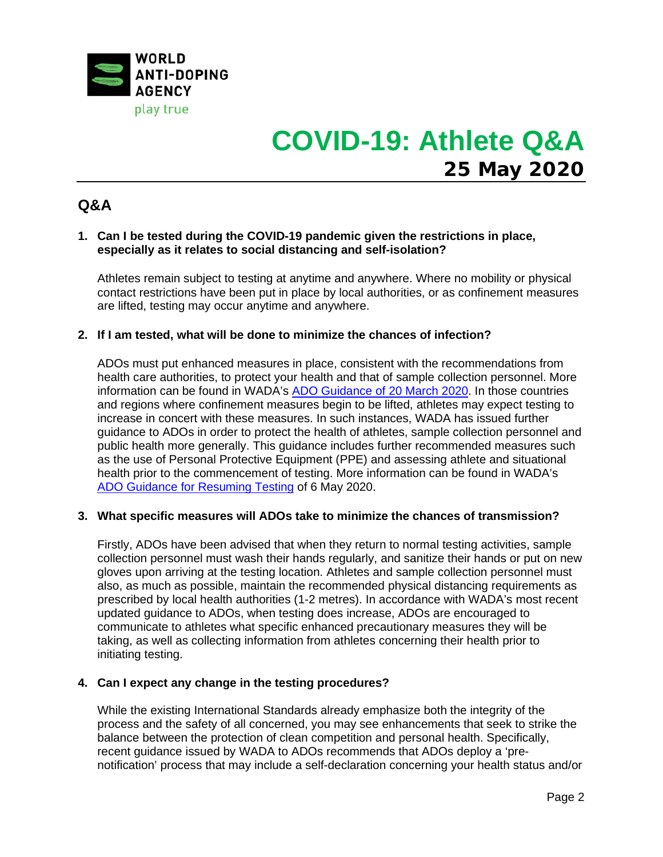

## **Q&A**

### **1. Can I be tested during the COVID-19 pandemic given the restrictions in place, especially as it relates to social distancing and self-isolation?**

Athletes remain subject to testing at anytime and anywhere. Where no mobility or physical contact restrictions have been put in place by local authorities, or as confinement measures are lifted, testing may occur anytime and anywhere.

### **2. If I am tested, what will be done to minimize the chances of infection?**

ADOs must put enhanced measures in place, consistent with the recommendations from health care authorities, to protect your health and that of sample collection personnel. More information can be found in WADA's [ADO Guidance of 20 March 2020.](https://www.wada-ama.org/sites/default/files/resources/files/20200506_ado_guidance_resuming_testing_en.pdf) In those countries and regions where confinement measures begin to be lifted, athletes may expect testing to increase in concert with these measures. In such instances, WADA has issued further guidance to ADOs in order to protect the health of athletes, sample collection personnel and public health more generally. This guidance includes further recommended measures such as the use of Personal Protective Equipment (PPE) and assessing athlete and situational health prior to the commencement of testing. More information can be found in WADA's [ADO Guidance for Resuming Testing](https://www.wada-ama.org/sites/default/files/resources/files/20200506_ado_guidance_resuming_testing_en.pdf) of 6 May 2020.

#### **3. What specific measures will ADOs take to minimize the chances of transmission?**

Firstly, ADOs have been advised that when they return to normal testing activities, sample collection personnel must wash their hands regularly, and sanitize their hands or put on new gloves upon arriving at the testing location. Athletes and sample collection personnel must also, as much as possible, maintain the recommended physical distancing requirements as prescribed by local health authorities (1-2 metres). In accordance with WADA's most recent updated guidance to ADOs, when testing does increase, ADOs are encouraged to communicate to athletes what specific enhanced precautionary measures they will be taking, as well as collecting information from athletes concerning their health prior to initiating testing.

### **4. Can I expect any change in the testing procedures?**

While the existing International Standards already emphasize both the integrity of the process and the safety of all concerned, you may see enhancements that seek to strike the balance between the protection of clean competition and personal health. Specifically, recent guidance issued by WADA to ADOs recommends that ADOs deploy a 'prenotification' process that may include a self-declaration concerning your health status and/or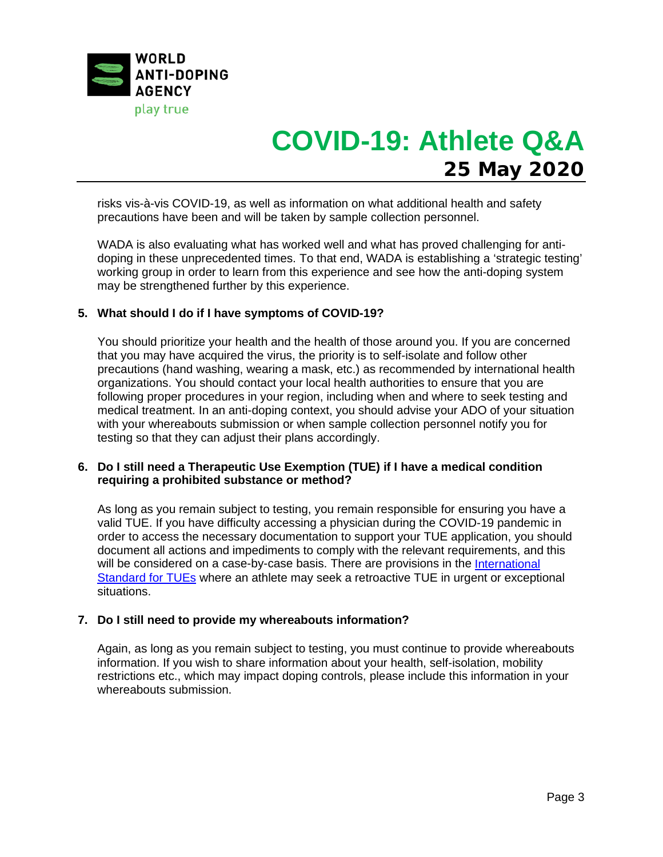

risks vis-à-vis COVID-19, as well as information on what additional health and safety precautions have been and will be taken by sample collection personnel.

WADA is also evaluating what has worked well and what has proved challenging for antidoping in these unprecedented times. To that end, WADA is establishing a 'strategic testing' working group in order to learn from this experience and see how the anti-doping system may be strengthened further by this experience.

### **5. What should I do if I have symptoms of COVID-19?**

You should prioritize your health and the health of those around you. If you are concerned that you may have acquired the virus, the priority is to self-isolate and follow other precautions (hand washing, wearing a mask, etc.) as recommended by international health organizations. You should contact your local health authorities to ensure that you are following proper procedures in your region, including when and where to seek testing and medical treatment. In an anti-doping context, you should advise your ADO of your situation with your whereabouts submission or when sample collection personnel notify you for testing so that they can adjust their plans accordingly.

### **6. Do I still need a Therapeutic Use Exemption (TUE) if I have a medical condition requiring a prohibited substance or method?**

As long as you remain subject to testing, you remain responsible for ensuring you have a valid TUE. If you have difficulty accessing a physician during the COVID-19 pandemic in order to access the necessary documentation to support your TUE application, you should document all actions and impediments to comply with the relevant requirements, and this will be considered on a case-by-case basis. There are provisions in the International [Standard for TUEs](https://www.wada-ama.org/sites/default/files/resources/files/istue_2019_en_new.pdf) where an athlete may seek a retroactive TUE in urgent or exceptional situations.

#### **7. Do I still need to provide my whereabouts information?**

Again, as long as you remain subject to testing, you must continue to provide whereabouts information. If you wish to share information about your health, self-isolation, mobility restrictions etc., which may impact doping controls, please include this information in your whereabouts submission.